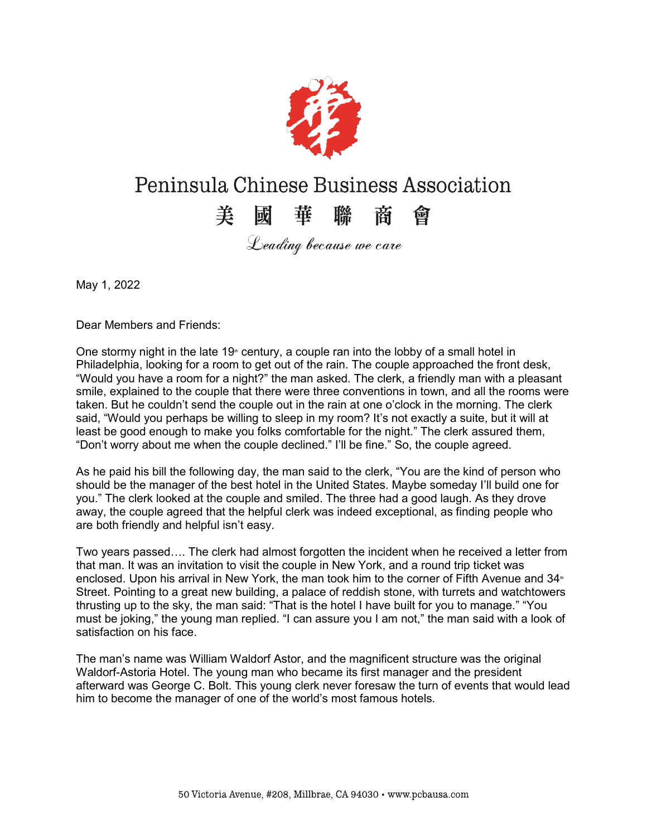

## Peninsula Chinese Business Association

## 美國華聯商會

Leading because we care

May 1, 2022

Dear Members and Friends:

One stormy night in the late 19 $\text{m}$  century, a couple ran into the lobby of a small hotel in Philadelphia, looking for a room to get out of the rain. The couple approached the front desk, "Would you have a room for a night?" the man asked. The clerk, a friendly man with a pleasant smile, explained to the couple that there were three conventions in town, and all the rooms were taken. But he couldn't send the couple out in the rain at one o'clock in the morning. The clerk said, "Would you perhaps be willing to sleep in my room? It's not exactly a suite, but it will at least be good enough to make you folks comfortable for the night." The clerk assured them, "Don't worry about me when the couple declined." I'll be fine." So, the couple agreed.

As he paid his bill the following day, the man said to the clerk, "You are the kind of person who should be the manager of the best hotel in the United States. Maybe someday I'll build one for you.´ The clerk looked at the couple and smiled. The three had a good laugh. As they drove away, the couple agreed that the helpful clerk was indeed exceptional, as finding people who are both friendly and helpful isn't easy.

Two years passed.... The clerk had almost forgotten the incident when he received a letter from that man. It was an invitation to visit the couple in New York, and a round trip ticket was enclosed. Upon his arrival in New York, the man took him to the corner of Fifth Avenue and 34<sup>th</sup> Street. Pointing to a great new building, a palace of reddish stone, with turrets and watchtowers thrusting up to the sky, the man said: "That is the hotel I have built for you to manage." "You must be joking," the young man replied. "I can assure you I am not," the man said with a look of satisfaction on his face.

The man's name was William Waldorf Astor, and the magnificent structure was the original Waldorf-Astoria Hotel. The young man who became its first manager and the president afterward was George C. Bolt. This young clerk never foresaw the turn of events that would lead him to become the manager of one of the world's most famous hotels.